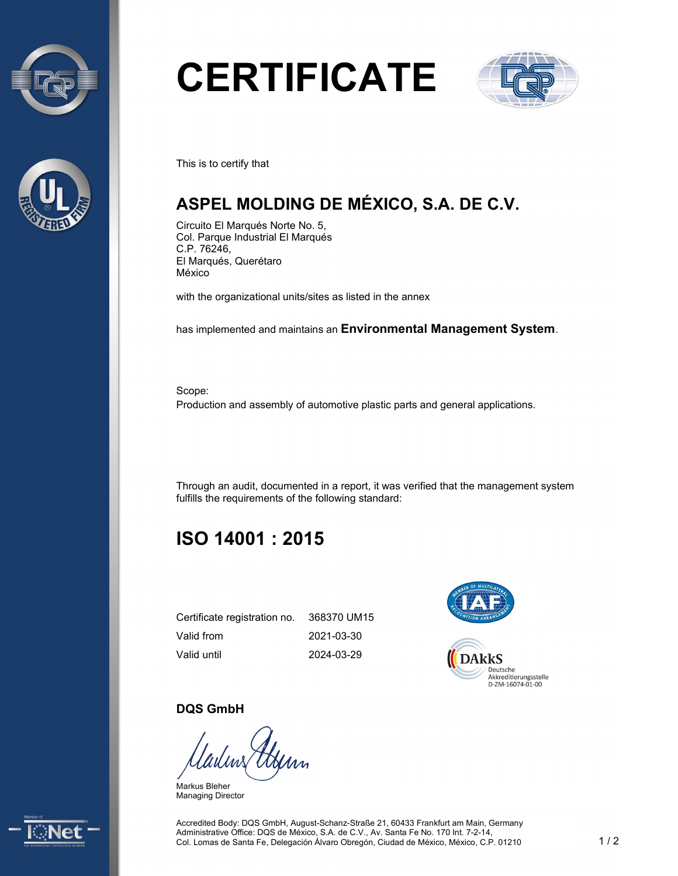



# **CERTIFICATE**



This is to certify that

## **ASPEL MOLDING DE MÉXICO, S.A. DE C.V.**

Circuito El Marqués Norte No. 5, Col. Parque Industrial El Marqués C.P. 76246, El Marqués, Querétaro México

with the organizational units/sites as listed in the annex

has implemented and maintains an **Environmental Management System**.

Scope: Production and assembly of automotive plastic parts and general applications.

Through an audit, documented in a report, it was verified that the management system fulfills the requirements of the following standard:

## **ISO 14001 : 2015**

| Certificate registration no. 368370 UM15 |            |
|------------------------------------------|------------|
| Valid from                               | 2021-03-30 |
| Valid until                              | 2024-03-29 |



#### **DQS GmbH**

Markus Bleher Managing Director



Accredited Body: DQS GmbH, August-Schanz-Straße 21, 60433 Frankfurt am Main, Germany Administrative Office: DQS de México, S.A. de C.V., Av. Santa Fe No. 170 Int. 7-2-14, Col. Lomas de Santa Fe, Delegación Álvaro Obregón, Ciudad de México, México, C.P. 01210 1/2